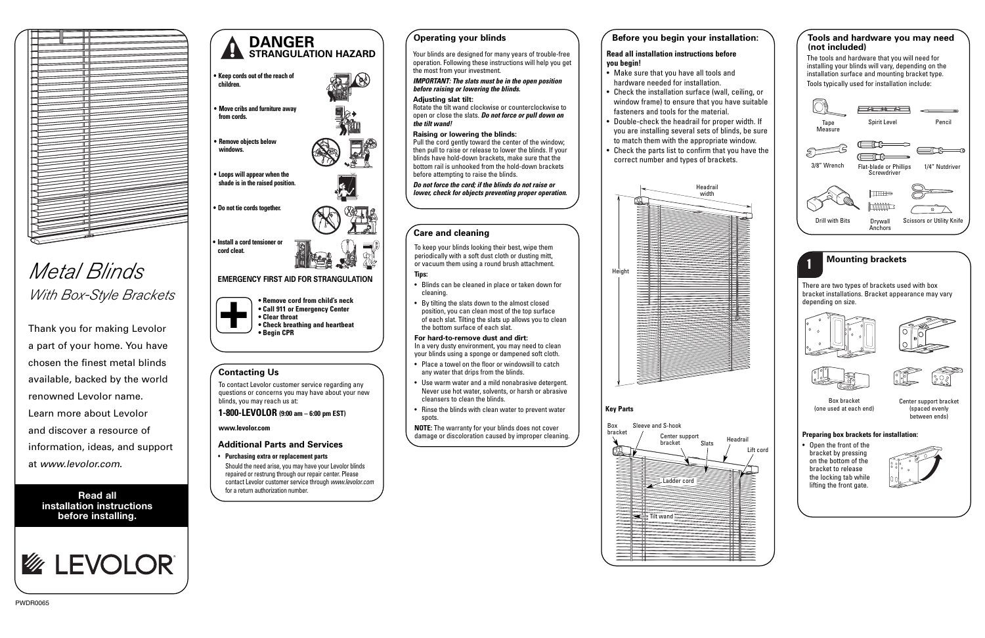**Read all installation instructions before installing.**



## **Care and cleaning**

To keep your blinds looking their best, wipe them periodically with a soft dust cloth or dusting mitt, or vacuum them using a round brush attachment.

#### **Tips:**

- Blinds can be cleaned in place or taken down for cleaning.
- By tilting the slats down to the almost closed position, you can clean most of the top surface of each slat. Tilting the slats up allows you to clean the bottom surface of each slat.

#### **For hard-to-remove dust and dirt:**

In a very dusty environment, you may need to clean your blinds using a sponge or dampened soft cloth.



# Metal Blinds With Box-Style Brackets

- Place a towel on the floor or windowsill to catch any water that drips from the blinds.
- Use warm water and a mild nonabrasive detergent. Never use hot water, solvents, or harsh or abrasive cleansers to clean the blinds.
- Rinse the blinds with clean water to prevent water spots.

**NOTE:** The warranty for your blinds does not cover damage or discoloration caused by improper cleaning.

## **DANGER STRANGULATION HAZARD**

**• Remove cord from child's neck • Call 911 or Emergency Center • Clear throat • Check breathing and heartbeat • Begin CPR +**

- **• Keep cords out of the reach of children.**
- **• Move cribs and furniture away from cords.**
- **Remove objects below windows.**

## **EMERGENCY FIRST AID FOR STRANGULATION**

**•**

- **• Loops will appear when the shade is in the raised position.**
- **• Do not tie cords together.**
- 

好女

**•**



**cord cleat.**

**Mounting brackets**

There are two types of brackets used with box bracket installations. Bracket appearance may vary depending on size.



1



Box bracket (one used at each end)







Center support bracket (spaced evenly between ends)

#### **Preparing box brackets for installation:**

• Open the front of the bracket by pressing on the bottom of the bracket to release the locking tab while lifting the front gate.



## **Before you begin your installation:**

#### **Read all installation instructions before you begin!**

- Make sure that you have all tools and hardware needed for installation.
- Check the installation surface (wall, ceiling, or window frame) to ensure that you have suitable fasteners and tools for the material.
- • Double-check the headrail for proper width. If you are installing several sets of blinds, be sure to match them with the appropriate window.
- • Check the parts list to confirm that you have the correct number and types of brackets.



## **Operating your blinds**

Your blinds are designed for many years of trouble-free operation. Following these instructions will help you get the most from your investment.

**IMPORTANT: The slats must be in the open position before raising or lowering the blinds.** 

#### **Adjusting slat tilt:**

Rotate the tilt wand clockwise or counterclockwise to open or close the slats. **Do not force or pull down on the tilt wand!**

#### **Raising or lowering the blinds:**

Pull the cord gently toward the center of the window; then pull to raise or release to lower the blinds. If your blinds have hold-down brackets, make sure that the bottom rail is unhooked from the hold-down brackets before attempting to raise the blinds.

**Do not force the cord; if the blinds do not raise or lower, check for objects preventing proper operation.**

#### **Tools and hardware you may need (not included)**

The tools and hardware that you will need for installing your blinds will vary, depending on the installation surface and mounting bracket type. Tools typically used for installation include:



Thank you for making Levolor a part of your home. You have chosen the finest metal blinds available, backed by the world renowned Levolor name. Learn more about Levolor and discover a resource of information, ideas, and support at www.levolor.com.

#### **Additional Parts and Services**

• **Purchasing extra or replacement parts** Should the need arise, you may have your Levolor blinds repaired or restrung through our repair center. Please contact Levolor customer service through www.levolor.com for a return authorization number.

## **Contacting Us**

To contact Levolor customer service regarding any questions or concerns you may have about your new blinds, you may reach us at:

#### **1-800-LEVOLOR (9:00 am – 6:00 pm EST)**

**www.levolor.com**

## **Key Parts**



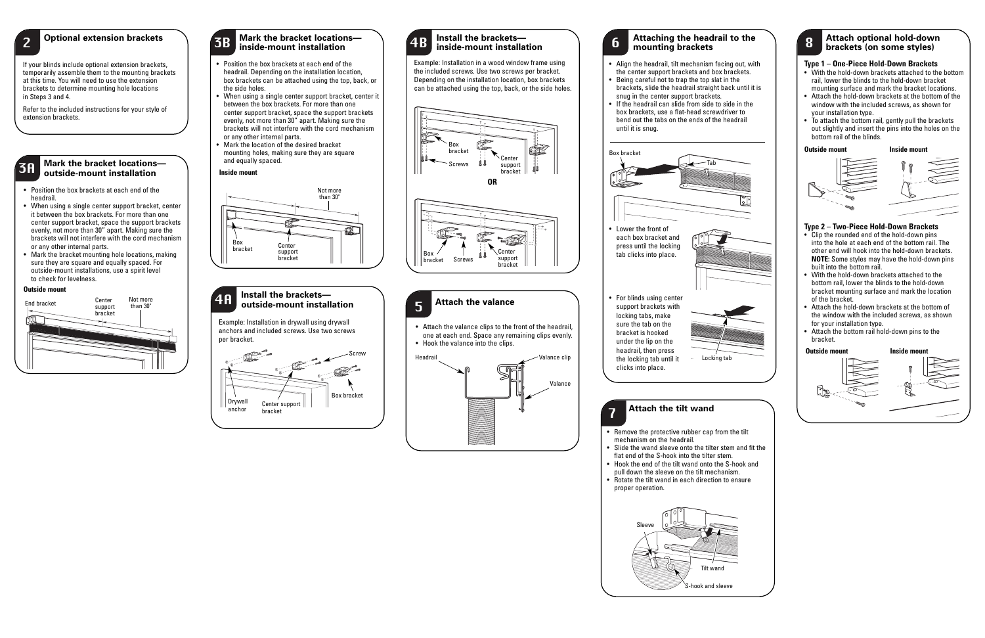#### **Mark the bracket locations outside-mount installation** 3A

- Position the box brackets at each end of the headrail.
- When using a single center support bracket, center it between the box brackets. For more than one center support bracket, space the support brackets evenly, not more than 30" apart. Making sure the brackets will not interfere with the cord mechanism or any other internal parts.
- Mark the bracket mounting hole locations, making sure they are square and equally spaced. For outside-mount installations, use a spirit level to check for levelness.



Example: Installation in drywall using drywall anchors and included screws. Use two screws per bracket.

#### **Outside mount**

Example: Installation in a wood window frame using the included screws. Use two screws per bracket. Depending on the installation location, box brackets can be attached using the top, back, or the side holes.

#### **Optional extension brackets** (and a **Install of the bracket locations** and a line of the brackets—<br> **Mark the bracket location (a)** and the bracket location (a) and the brackets—<br> **Mark the bracket location (a)** and the b **inside-mount installation** 3B

If your blinds include optional extension brackets, temporarily assemble them to the mounting brackets at this time. You will need to use the extension brackets to determine mounting hole locations in Steps 3 and 4.



Refer to the included instructions for your style of extension brackets.







- Position the box brackets at each end of the headrail. Depending on the installation location, box brackets can be attached using the top, back, or the side holes.
- When using a single center support bracket, center it between the box brackets. For more than one center support bracket, space the support brackets evenly, not more than 30" apart. Making sure the brackets will not interfere with the cord mechanism or any other internal parts.
- Mark the location of the desired bracket mounting holes, making sure they are square and equally spaced.

#### **Inside mount**



## **Attach the valance**  5

• Attach the valance clips to the front of the headrail, one at each end. Space any remaining clips evenly. • Hook the valance into the clips.



#### **Attach optional hold-down brackets (on some styles)**

#### **Type 2 – Two-Piece Hold-Down Brackets**

- Clip the rounded end of the hold-down pins into the hole at each end of the bottom rail. The other end will hook into the hold-down brackets. **NOTE:** Some styles may have the hold-down pins built into the bottom rail.
- With the hold-down brackets attached to the bottom rail, lower the blinds to the hold-down bracket mounting surface and mark the location of the bracket.
- Attach the hold-down brackets at the bottom of the window with the included screws, as shown for your installation type.
- Attach the bottom rail hold-down pins to the bracket.



#### **Outside mount Inside mount**



#### **Type 1 – One-Piece Hold-Down Brackets**

- With the hold-down brackets attached to the bottom rail, lower the blinds to the hold-down bracket mounting surface and mark the bracket locations.
- Attach the hold-down brackets at the bottom of the window with the included screws, as shown for your installation type.
- To attach the bottom rail, gently pull the brackets out slightly and insert the pins into the holes on the bottom rail of the blinds.



# **Attaching the headrail to the** <sup>6</sup> **mounting brackets**

- Align the headrail, tilt mechanism facing out, with the center support brackets and box brackets.
- Being careful not to trap the top slat in the brackets, slide the headrail straight back until it is snug in the center support brackets.
- • If the headrail can slide from side to side in the box brackets, use a flat-head screwdriver to bend out the tabs on the ends of the headrail until it is snug.



- press until the locking tab clicks into place.
- For blinds using center support brackets with locking tabs, make sure the tab on the bracket is hooked under the lip on the headrail, then press the locking tab until it clicks into place.



**Attach the tilt wand**

- Remove the protective rubber cap from the tilt mechanism on the headrail.
- Slide the wand sleeve onto the tilter stem and fit the flat end of the S-hook into the tilter stem.
- Hook the end of the tilt wand onto the S-hook and pull down the sleeve on the tilt mechanism.
- Rotate the tilt wand in each direction to ensure proper operation.

7



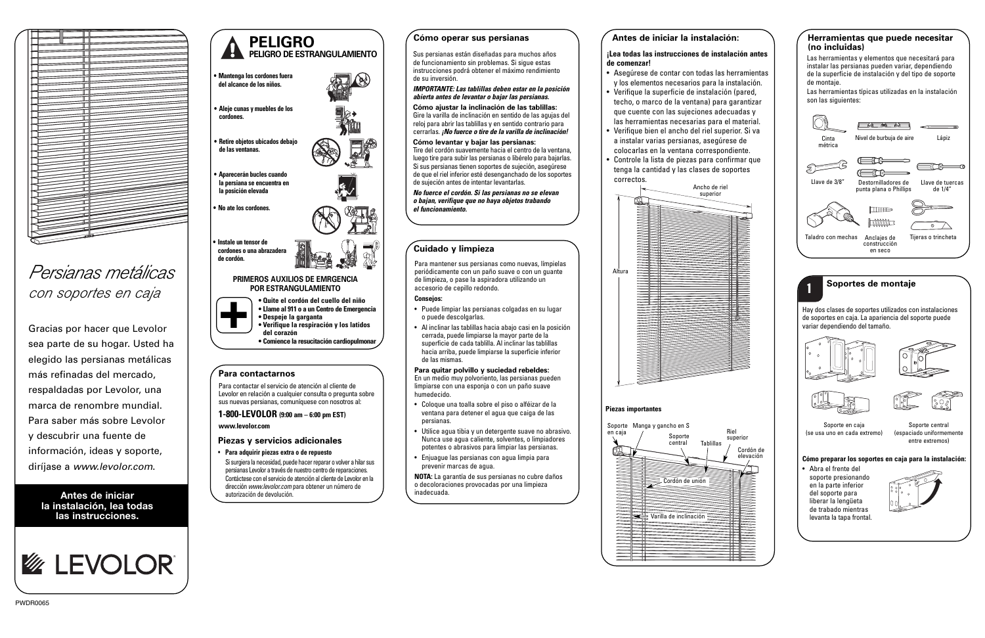**Antes de iniciar la instalación, lea todas las instrucciones.**



#### **Cuidado y limpieza**

Para mantener sus persianas como nuevas, límpielas periódicamente con un paño suave o con un guante de limpieza, o pase la aspiradora utilizando un accesorio de cepillo redondo.

#### **Consejos:**

- Puede limpiar las persianas colgadas en su lugar o puede descolgarlas.
- Al inclinar las tablillas hacia abajo casi en la posición cerrada, puede limpiarse la mayor parte de la superficie de cada tablilla. Al inclinar las tablillas hacia arriba, puede limpiarse la superficie inferior de las mismas.

## **Para quitar polvillo y suciedad rebeldes:**

En un medio muy polvoriento, las persianas pueden limpiarse con una esponja o con un paño suave humedecido.

- Coloque una toalla sobre el piso o alféizar de la ventana para detener el agua que caiga de las persianas.
- Utilice agua tibia y un detergente suave no abrasivo. Nunca use agua caliente, solventes, o limpiadores potentes o abrasivos para limpiar las persianas.
- Enjuague las persianas con agua limpia para prevenir marcas de agua.

**NOTA:** La garantía de sus persianas no cubre daños o decoloraciones provocadas por una limpieza inadecuada.



# Persianas metálicas



de soportes en caja. La apariencia del soporte puede variar dependiendo del tamaño.









Soporte en caja (se usa uno en cada extremo)

Soporte central (espaciado uniformemente entre extremos)

**Cómo preparar los soportes en caja para la instalación:**

• Abra el frente del soporte presionando en la parte inferior del soporte para liberar la lengüeta de trabado mientras levanta la tapa frontal.



#### **Antes de iniciar la instalación:**

Las herramientas típicas utilizadas en la instalación son las siguientes:

#### **¡Lea todas las instrucciones de instalación antes de comenzar!**



- Asegúrese de contar con todas las herramientas y los elementos necesarios para la instalación.
- Verifique la superficie de instalación (pared, techo, o marco de la ventana) para garantizar que cuente con las sujeciones adecuadas y las herramientas necesarias para el material.
- • Verifique bien el ancho del riel superior. Si va a instalar varias persianas, asegúrese de colocarlas en la ventana correspondiente.
- • Controle la lista de piezas para confirmar que tenga la cantidad y las clases de soportes correctos.

#### **Cómo operar sus persianas**

Sus persianas están diseñadas para muchos años de funcionamiento sin problemas. Si sigue estas instrucciones podrá obtener el máximo rendimiento de su inversión.

#### **IMPORTANTE: Las tablillas deben estar en la posición abierta antes de levantar o bajar las persianas.**

**Cómo ajustar la inclinación de las tablillas:** Gire la varilla de inclinación en sentido de las agujas del reloj para abrir las tablillas y en sentido contrario para cerrarlas. **¡No fuerce o tire de la varilla de inclinación!**

#### **Cómo levantar y bajar las persianas:**

Tire del cordón suavemente hacia el centro de la ventana, luego tire para subir las persianas o libérelo para bajarlas. Si sus persianas tienen soportes de sujeción, asegúrese de que el riel inferior esté desenganchado de los soportes de sujeción antes de intentar levantarlas.

**No fuerce el cordón. Si las persianas no se elevan o bajan, verifique que no haya objetos trabando el funcionamiento.**

#### **Herramientas que puede necesitar (no incluidas)**

Las herramientas y elementos que necesitará para instalar las persianas pueden variar, dependiendo de la superficie de instalación y del tipo de soporte de montaje.



Gracias por hacer que Levolor sea parte de su hogar. Usted ha elegido las persianas metálicas más refinadas del mercado, respaldadas por Levolor, una marca de renombre mundial. Para saber más sobre Levolor y descubrir una fuente de información, ideas y soporte, diríjase a www.levolor.com.

#### **Piezas importantes**



## **PELIGRO PELIGRO DE ESTRANGULAMIENTO**

**• Mantenga los cordones fuera del alcance de los niños.**



- **• Verifique la respiración y los latidos**
- **del corazón • Comience la resucitación cardiopulmonar**

#### **PRIMEROS AUXILIOS DE EMRGENCIA POR ESTRANGULAMIENTO**

**• Aleje cunas y muebles de los cordones.**

**•**

- **Retire objetos ubicados debajo de las ventanas.**
- **• Aparecerán bucles cuando la persiana se encuentra en la posición elevada**
- **• No ate los cordones.**

**• Instale un tensor de cordones o una abrazadera de cordón.**

#### **Piezas y servicios adicionales**

• **Para adquirir piezas extra o de repuesto** Si surgiera la necesidad, puede hacer reparar o volver a hilar sus persianas Levolor a través de nuestro centro de reparaciones. Contáctese con el servicio de atención al cliente de Levolor en la dirección www.levolor.com para obtener un número de autorización de devolución.

## **Para contactarnos**

Para contactar el servicio de atención al cliente de Levolor en relación a cualquier consulta o pregunta sobre sus nuevas persianas, comuníquese con nosotros al:

#### **1-800-LEVOLOR (9:00 am – 6:00 pm EST) www.levolor.com**